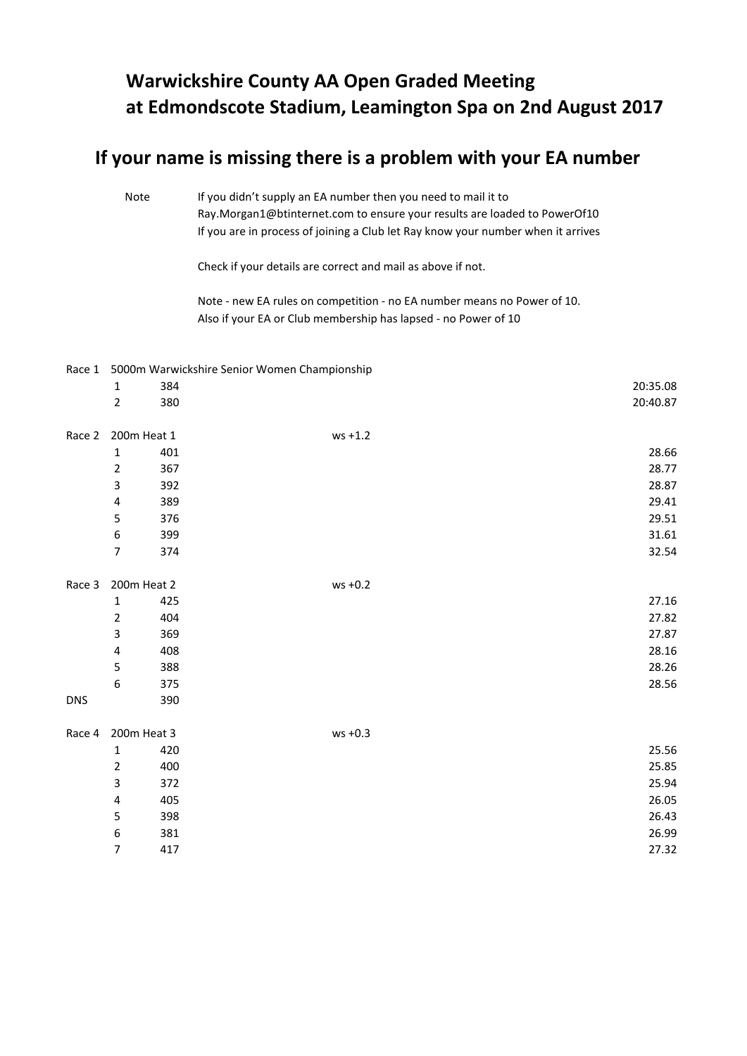## **Warwickshire County AA Open Graded Meeting at Edmondscote Stadium, Leamington Spa on 2nd August 2017**

## **If your name is missing there is a problem with your EA number**

Note If you didn't supply an EA number then you need to mail it to [Ray.Morgan1@btinternet.com to ensure your results are loaded to PowerOf10](mailto:Ray.Morgan1@btinternet.com%20to%20ensure%20your%20results%20are%20loaded%20to%20PowerOf10) If you are in process of joining a Club let Ray know your number when it arrives

Check if your details are correct and mail as above if not.

Note - new EA rules on competition - no EA number means no Power of 10. Also if your EA or Club membership has lapsed - no Power of 10

## Race 1 5000m Warwickshire Senior Women Championship

|            | $\mathbf 1$             | 384 |            | 20:35.08 |
|------------|-------------------------|-----|------------|----------|
|            | $\overline{2}$          | 380 |            | 20:40.87 |
| Race 2     | 200m Heat 1             |     | $ws + 1.2$ |          |
|            | $\mathbf 1$             | 401 |            | 28.66    |
|            | $\mathbf{2}$            | 367 |            | 28.77    |
|            | 3                       | 392 |            | 28.87    |
|            | $\overline{\mathbf{4}}$ | 389 |            | 29.41    |
|            | $\sf 5$                 | 376 |            | 29.51    |
|            | $\boldsymbol{6}$        | 399 |            | 31.61    |
|            | $\boldsymbol{7}$        | 374 |            | 32.54    |
| Race 3     | 200m Heat 2             |     | $ws +0.2$  |          |
|            | $\mathbf 1$             | 425 |            | 27.16    |
|            | $\overline{2}$          | 404 |            | 27.82    |
|            | 3                       | 369 |            | 27.87    |
|            | $\overline{\mathbf{4}}$ | 408 |            | 28.16    |
|            | 5                       | 388 |            | 28.26    |
|            | 6                       | 375 |            | 28.56    |
| <b>DNS</b> |                         | 390 |            |          |
| Race 4     | 200m Heat 3             |     | $ws +0.3$  |          |
|            | $\mathbf 1$             | 420 |            | 25.56    |
|            | $\overline{2}$          | 400 |            | 25.85    |
|            | 3                       | 372 |            | 25.94    |
|            | $\overline{\mathbf{4}}$ | 405 |            | 26.05    |
|            | 5                       | 398 |            | 26.43    |
|            | 6                       | 381 |            | 26.99    |
|            | $\boldsymbol{7}$        | 417 |            | 27.32    |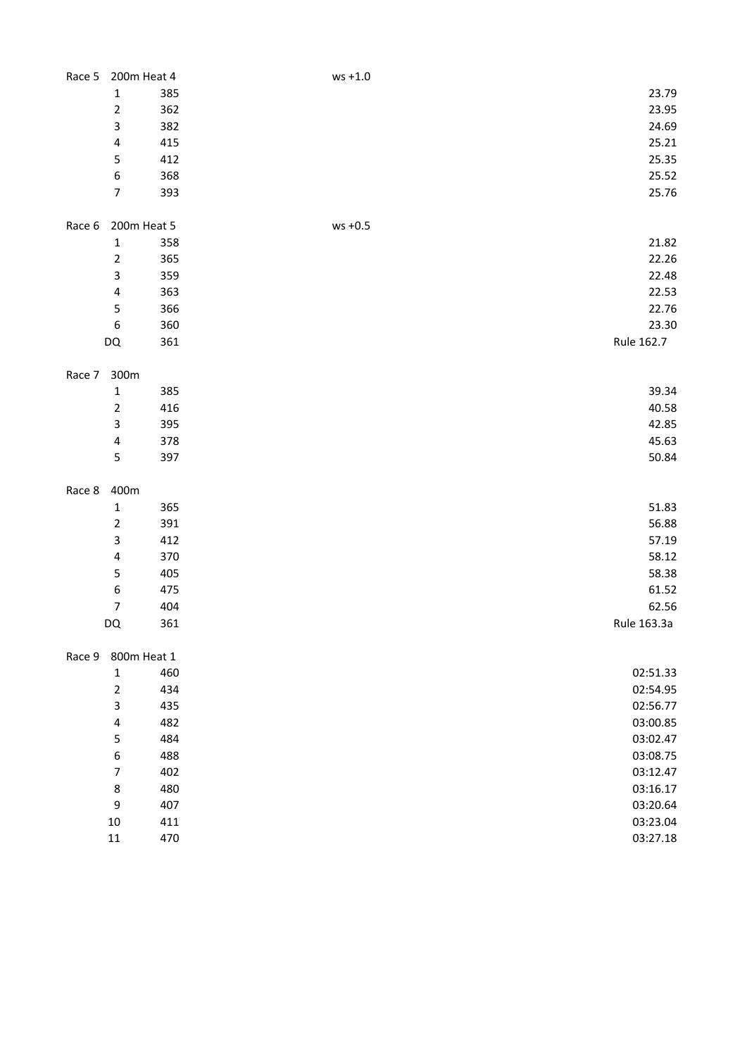|        |                  | Race 5 200m Heat 4 | $ws + 1.0$           |  |
|--------|------------------|--------------------|----------------------|--|
|        | $\mathbf 1$      | 385                | 23.79                |  |
|        | $\overline{2}$   | 362                | 23.95                |  |
|        | 3                | 382                | 24.69                |  |
|        | 4                | 415                | 25.21                |  |
|        | 5                | 412                | 25.35                |  |
|        | 6                | 368                | 25.52                |  |
|        | $\overline{7}$   | 393                | 25.76                |  |
|        |                  |                    |                      |  |
| Race 6 |                  | 200m Heat 5        | $ws +0.5$            |  |
|        | $\mathbf 1$      | 358                | 21.82                |  |
|        | $\overline{2}$   | 365                | 22.26                |  |
|        | 3                | 359                | 22.48                |  |
|        | 4                | 363                | 22.53                |  |
|        | $\mathsf S$      | 366                | 22.76                |  |
|        | 6                | 360                | 23.30                |  |
|        | DQ               | 361                | Rule 162.7           |  |
|        |                  |                    |                      |  |
| Race 7 | 300m             |                    |                      |  |
|        | $\mathbf 1$      | 385                | 39.34                |  |
|        | $\mathbf 2$      | 416                | 40.58                |  |
|        | 3                | 395                | 42.85                |  |
|        | 4                | 378                | 45.63                |  |
|        | 5                | 397                | 50.84                |  |
|        |                  |                    |                      |  |
|        |                  |                    |                      |  |
|        |                  |                    |                      |  |
| Race 8 | 400m             |                    |                      |  |
|        | $\mathbf 1$      | 365                | 51.83                |  |
|        | $\overline{2}$   | 391                | 56.88                |  |
|        | 3                | 412                | 57.19                |  |
|        | 4                | 370                | 58.12                |  |
|        | 5                | 405                | 58.38                |  |
|        | 6                | 475                | 61.52                |  |
|        | $\boldsymbol{7}$ | 404                | 62.56                |  |
|        | DQ               | 361                | Rule 163.3a          |  |
|        |                  |                    |                      |  |
| Race 9 |                  | 800m Heat 1        |                      |  |
|        | $\mathbf 1$      | 460                | 02:51.33             |  |
|        | $\overline{2}$   | 434                | 02:54.95             |  |
|        | 3                | 435                | 02:56.77             |  |
|        | 4                | 482                | 03:00.85             |  |
|        | 5                | 484                | 03:02.47             |  |
|        | 6                | 488                | 03:08.75             |  |
|        | $\overline{7}$   | 402                | 03:12.47             |  |
|        | 8                | 480                | 03:16.17             |  |
|        | 9                | 407                | 03:20.64             |  |
|        | $10\,$<br>$11\,$ | 411<br>470         | 03:23.04<br>03:27.18 |  |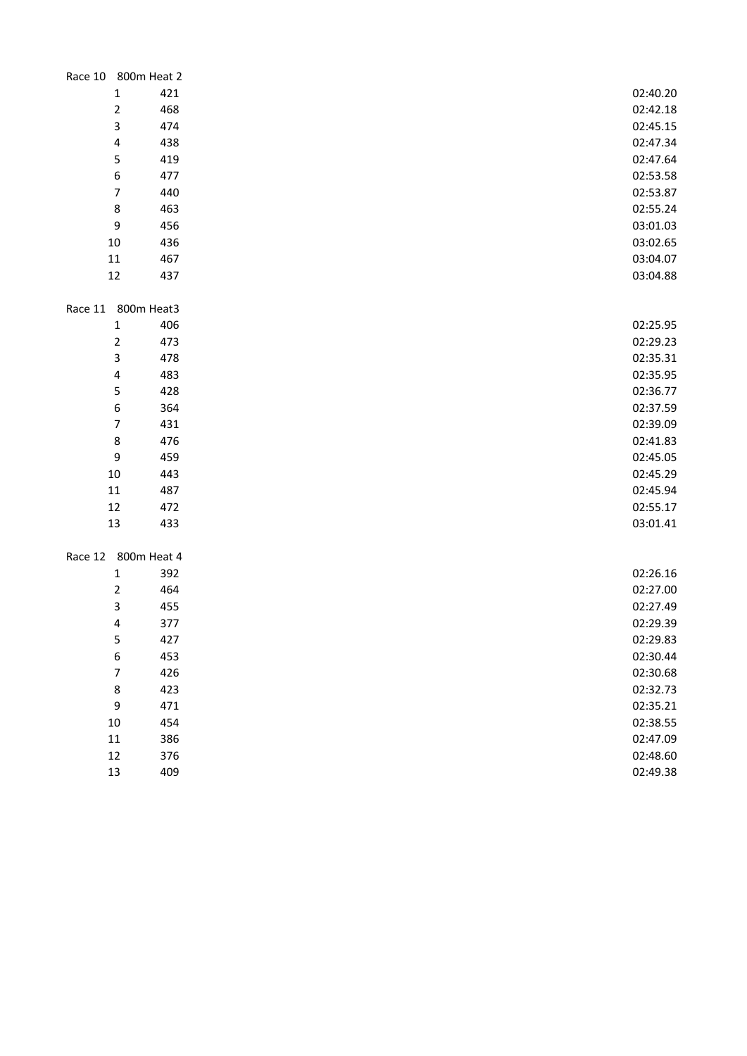| Race 10 800m Heat 2            |          |
|--------------------------------|----------|
| $\mathbf 1$<br>421             | 02:40.20 |
| $\overline{2}$<br>468          | 02:42.18 |
| 3<br>474                       | 02:45.15 |
| $\overline{\mathbf{4}}$<br>438 | 02:47.34 |
| 5<br>419                       | 02:47.64 |
| 6<br>477                       | 02:53.58 |
| $\overline{7}$<br>440          | 02:53.87 |
| 8<br>463                       | 02:55.24 |
| 456<br>9                       | 03:01.03 |
| 10<br>436                      | 03:02.65 |
| $11\,$<br>467                  | 03:04.07 |
| $12\,$<br>437                  | 03:04.88 |
| Race 11 800m Heat3             |          |
| $\mathbf 1$<br>406             | 02:25.95 |
| $\overline{2}$<br>473          | 02:29.23 |
| 3<br>478                       | 02:35.31 |
| 4<br>483                       | 02:35.95 |
| 5<br>428                       | 02:36.77 |
| 6<br>364                       | 02:37.59 |
| $\overline{7}$<br>431          | 02:39.09 |
| 8<br>476                       | 02:41.83 |
| 9<br>459                       | 02:45.05 |
| $10\,$<br>443                  | 02:45.29 |
| $11\,$<br>487                  | 02:45.94 |
| 12<br>472                      | 02:55.17 |
| 13<br>433                      | 03:01.41 |
|                                |          |
| Race 12 800m Heat 4            |          |
| $\mathbf 1$<br>392             | 02:26.16 |
| $\overline{2}$<br>464          | 02:27.00 |
| 3<br>455                       | 02:27.49 |
| $\overline{\mathbf{4}}$<br>377 | 02:29.39 |
| 5<br>427                       | 02:29.83 |
| 6<br>453                       | 02:30.44 |
| $\boldsymbol{7}$<br>426        | 02:30.68 |
| 8<br>423                       | 02:32.73 |
| 9<br>471                       | 02:35.21 |
| $10\,$<br>454                  | 02:38.55 |
| $11\,$<br>386                  | 02:47.09 |
| $12\,$<br>376                  | 02:48.60 |
| 13<br>409                      | 02:49.38 |